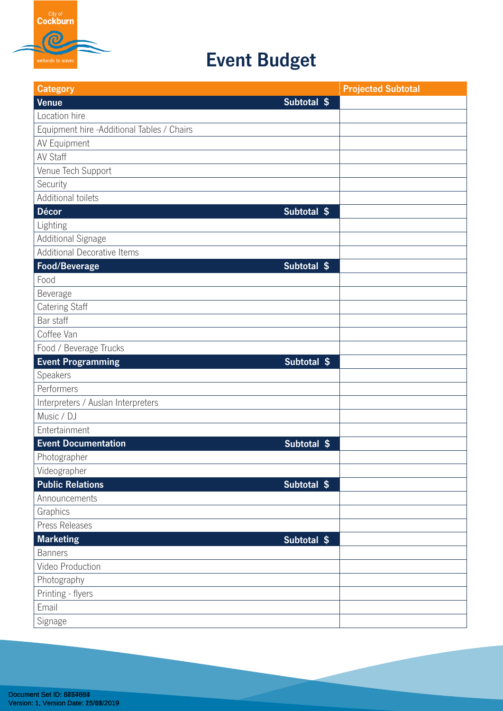

## **Event Budget**

| <b>Category</b>                            |             | <b>Projected Subtotal</b> |
|--------------------------------------------|-------------|---------------------------|
| <b>Venue</b>                               | Subtotal \$ |                           |
| Location hire                              |             |                           |
| Equipment hire -Additional Tables / Chairs |             |                           |
| AV Equipment                               |             |                           |
| <b>AV Staff</b>                            |             |                           |
| Venue Tech Support                         |             |                           |
| Security                                   |             |                           |
| Additional toilets                         |             |                           |
| Décor                                      | Subtotal \$ |                           |
| Lighting                                   |             |                           |
| Additional Signage                         |             |                           |
| <b>Additional Decorative Items</b>         |             |                           |
| Food/Beverage                              | Subtotal \$ |                           |
| Food                                       |             |                           |
| Beverage                                   |             |                           |
| Catering Staff                             |             |                           |
| Bar staff                                  |             |                           |
| Coffee Van                                 |             |                           |
| Food / Beverage Trucks                     |             |                           |
| <b>Event Programming</b>                   | Subtotal \$ |                           |
| Speakers                                   |             |                           |
| Performers                                 |             |                           |
| Interpreters / Auslan Interpreters         |             |                           |
| Music / DJ                                 |             |                           |
| Entertainment                              |             |                           |
| <b>Event Documentation</b>                 | Subtotal \$ |                           |
| Photographer                               |             |                           |
| Videographer                               |             |                           |
| <b>Public Relations</b>                    | Subtotal \$ |                           |
| Announcements                              |             |                           |
| Graphics                                   |             |                           |
| Press Releases                             |             |                           |
| <b>Marketing</b>                           | Subtotal \$ |                           |
| <b>Banners</b>                             |             |                           |
| Video Production                           |             |                           |
| Photography                                |             |                           |
| Printing - flyers                          |             |                           |
| Email                                      |             |                           |
| Signage                                    |             |                           |